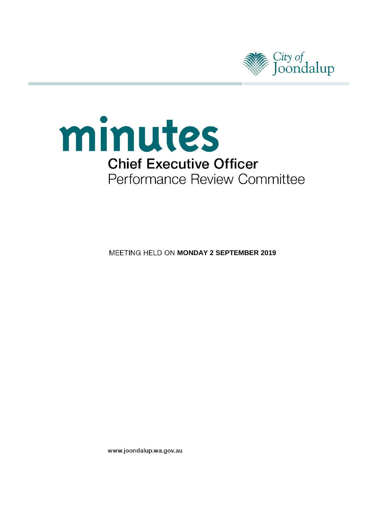



**MEETING HELD ON MONDAY 2 SEPTEMBER 2019** 

www.joondalup.wa.gov.au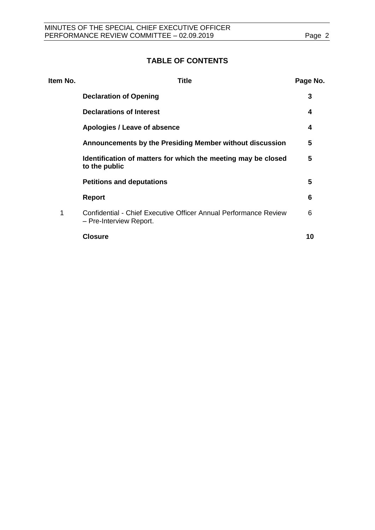# **TABLE OF CONTENTS**

| Item No. | Title                                                                                       | Page No. |
|----------|---------------------------------------------------------------------------------------------|----------|
|          | <b>Declaration of Opening</b>                                                               | 3        |
|          | <b>Declarations of Interest</b>                                                             | 4        |
|          | Apologies / Leave of absence                                                                | 4        |
|          | Announcements by the Presiding Member without discussion                                    | 5        |
|          | Identification of matters for which the meeting may be closed<br>to the public              | 5        |
|          | <b>Petitions and deputations</b>                                                            | 5        |
|          | <b>Report</b>                                                                               | 6        |
| 1        | Confidential - Chief Executive Officer Annual Performance Review<br>- Pre-Interview Report. | 6        |
|          | <b>Closure</b>                                                                              | 10       |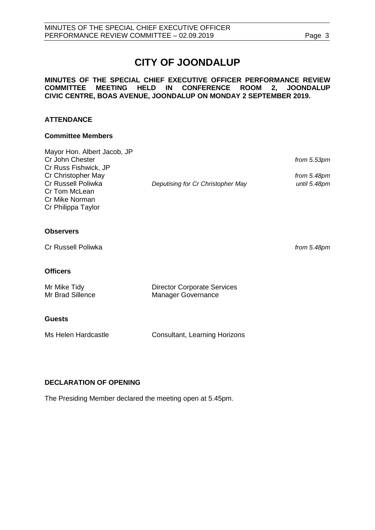# **CITY OF JOONDALUP**

## **MINUTES OF THE SPECIAL CHIEF EXECUTIVE OFFICER PERFORMANCE REVIEW COMMITTEE MEETING HELD IN CONFERENCE ROOM 2, JOONDALUP CIVIC CENTRE, BOAS AVENUE, JOONDALUP ON MONDAY 2 SEPTEMBER 2019.**

# **ATTENDANCE**

#### **Committee Members**

| Mayor Hon. Albert Jacob, JP |                                   |              |
|-----------------------------|-----------------------------------|--------------|
| Cr John Chester             |                                   | from 5.53pm  |
| Cr Russ Fishwick, JP        |                                   |              |
| Cr Christopher May          |                                   | from 5.48pm  |
| Cr Russell Poliwka          | Deputising for Cr Christopher May | until 5.48pm |
| Cr Tom McLean               |                                   |              |
| Cr Mike Norman              |                                   |              |
| Cr Philippa Taylor          |                                   |              |
|                             |                                   |              |
| <b>Observers</b>            |                                   |              |

Cr Russell Poliwka *from 5.48pm*

#### **Officers**

| Mr Mike Tidy     | <b>Director Corporate Services</b> |  |
|------------------|------------------------------------|--|
| Mr Brad Sillence | <b>Manager Governance</b>          |  |
|                  |                                    |  |

# **Guests**

| <b>Consultant, Learning Horizons</b> |
|--------------------------------------|
|                                      |

# <span id="page-2-0"></span>**DECLARATION OF OPENING**

The Presiding Member declared the meeting open at 5.45pm.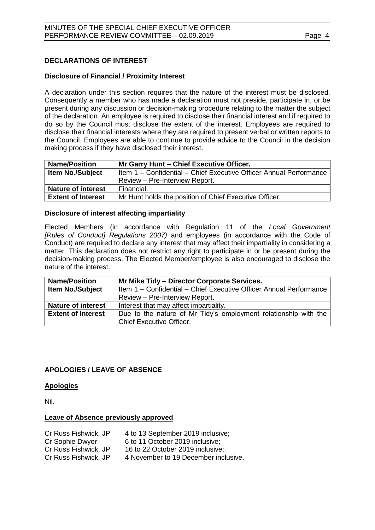# <span id="page-3-0"></span>**DECLARATIONS OF INTEREST**

# **Disclosure of Financial / Proximity Interest**

A declaration under this section requires that the nature of the interest must be disclosed. Consequently a member who has made a declaration must not preside, participate in, or be present during any discussion or decision-making procedure relating to the matter the subject of the declaration. An employee is required to disclose their financial interest and if required to do so by the Council must disclose the extent of the interest. Employees are required to disclose their financial interests where they are required to present verbal or written reports to the Council. Employees are able to continue to provide advice to the Council in the decision making process if they have disclosed their interest.

| <b>Name/Position</b>      | Mr Garry Hunt - Chief Executive Officer.                           |
|---------------------------|--------------------------------------------------------------------|
| <b>Item No./Subject</b>   | Item 1 - Confidential - Chief Executive Officer Annual Performance |
|                           | Review - Pre-Interview Report.                                     |
| <b>Nature of interest</b> | Financial.                                                         |
| <b>Extent of Interest</b> | Mr Hunt holds the position of Chief Executive Officer.             |

## **Disclosure of interest affecting impartiality**

Elected Members (in accordance with Regulation 11 of the *Local Government [Rules of Conduct] Regulations 2007)* and employees (in accordance with the Code of Conduct) are required to declare any interest that may affect their impartiality in considering a matter. This declaration does not restrict any right to participate in or be present during the decision-making process. The Elected Member/employee is also encouraged to disclose the nature of the interest.

| <b>Name/Position</b>                                                                         | Mr Mike Tidy - Director Corporate Services.                        |  |  |  |
|----------------------------------------------------------------------------------------------|--------------------------------------------------------------------|--|--|--|
| Item No./Subject                                                                             | Item 1 - Confidential - Chief Executive Officer Annual Performance |  |  |  |
|                                                                                              | Review - Pre-Interview Report.                                     |  |  |  |
| <b>Nature of interest</b>                                                                    | Interest that may affect impartiality.                             |  |  |  |
| Due to the nature of Mr Tidy's employment relationship with the<br><b>Extent of Interest</b> |                                                                    |  |  |  |
|                                                                                              | <b>Chief Executive Officer.</b>                                    |  |  |  |

# <span id="page-3-1"></span>**APOLOGIES / LEAVE OF ABSENCE**

# **Apologies**

Nil.

# **Leave of Absence previously approved**

<span id="page-3-2"></span>

| Cr Russ Fishwick, JP | 4 to 13 September 2019 inclusive;    |
|----------------------|--------------------------------------|
| Cr Sophie Dwyer      | 6 to 11 October 2019 inclusive;      |
| Cr Russ Fishwick, JP | 16 to 22 October 2019 inclusive:     |
| Cr Russ Fishwick, JP | 4 November to 19 December inclusive. |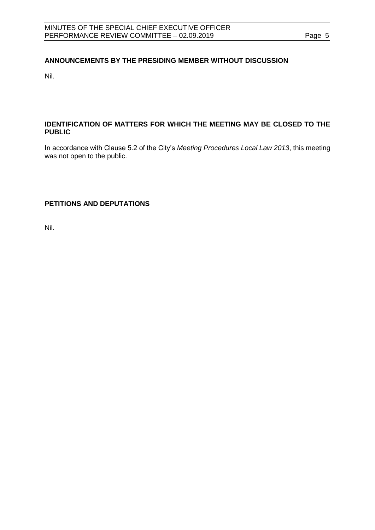# **ANNOUNCEMENTS BY THE PRESIDING MEMBER WITHOUT DISCUSSION**

Nil.

# <span id="page-4-0"></span>**IDENTIFICATION OF MATTERS FOR WHICH THE MEETING MAY BE CLOSED TO THE PUBLIC**

In accordance with Clause 5.2 of the City's *Meeting Procedures Local Law 2013*, this meeting was not open to the public.

<span id="page-4-1"></span>**PETITIONS AND DEPUTATIONS**

Nil.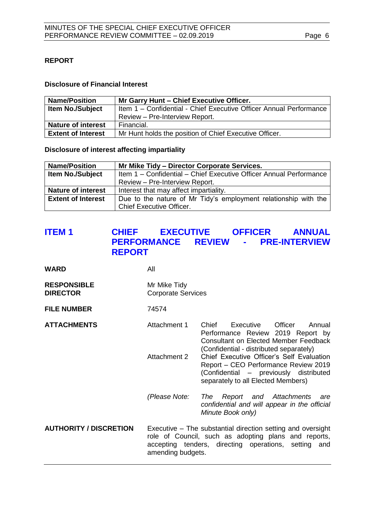# <span id="page-5-0"></span>**REPORT**

# **Disclosure of Financial Interest**

| <b>Name/Position</b>                                                                          | Mr Garry Hunt - Chief Executive Officer.               |
|-----------------------------------------------------------------------------------------------|--------------------------------------------------------|
| <b>Item No./Subject</b><br>Item 1 - Confidential - Chief Executive Officer Annual Performance |                                                        |
|                                                                                               | Review - Pre-Interview Report.                         |
| <b>Nature of interest</b>                                                                     | Financial.                                             |
| <b>Extent of Interest</b>                                                                     | Mr Hunt holds the position of Chief Executive Officer. |

**Disclosure of interest affecting impartiality**

| <b>Name/Position</b>      | Mr Mike Tidy - Director Corporate Services.                        |  |  |  |
|---------------------------|--------------------------------------------------------------------|--|--|--|
| <b>Item No./Subject</b>   | Item 1 - Confidential - Chief Executive Officer Annual Performance |  |  |  |
|                           | Review - Pre-Interview Report.                                     |  |  |  |
| <b>Nature of interest</b> | Interest that may affect impartiality.                             |  |  |  |
| <b>Extent of Interest</b> | Due to the nature of Mr Tidy's employment relationship with the    |  |  |  |
|                           | Chief Executive Officer.                                           |  |  |  |

# <span id="page-5-1"></span>**ITEM 1 CHIEF EXECUTIVE OFFICER ANNUAL PERFORMANCE REVIEW - PRE-INTERVIEW REPORT**

| <b>WARD</b>                           | All                                       |                                                                                                                                                                             |                               |
|---------------------------------------|-------------------------------------------|-----------------------------------------------------------------------------------------------------------------------------------------------------------------------------|-------------------------------|
| <b>RESPONSIBLE</b><br><b>DIRECTOR</b> | Mr Mike Tidy<br><b>Corporate Services</b> |                                                                                                                                                                             |                               |
| <b>FILE NUMBER</b>                    | 74574                                     |                                                                                                                                                                             |                               |
| <b>ATTACHMENTS</b>                    | Attachment 1                              | Chief Executive<br>Performance Review 2019 Report by<br><b>Consultant on Elected Member Feedback</b><br>(Confidential - distributed separately)                             | Officer<br>Annual             |
|                                       | Attachment 2                              | Chief Executive Officer's Self Evaluation<br>Report – CEO Performance Review 2019<br>(Confidential – previously distributed<br>separately to all Elected Members)           |                               |
|                                       | (Please Note:                             | The<br>confidential and will appear in the official<br>Minute Book only)                                                                                                    | Report and Attachments<br>are |
| <b>AUTHORITY / DISCRETION</b>         | amending budgets.                         | Executive – The substantial direction setting and oversight<br>role of Council, such as adopting plans and reports,<br>accepting tenders, directing operations, setting and |                               |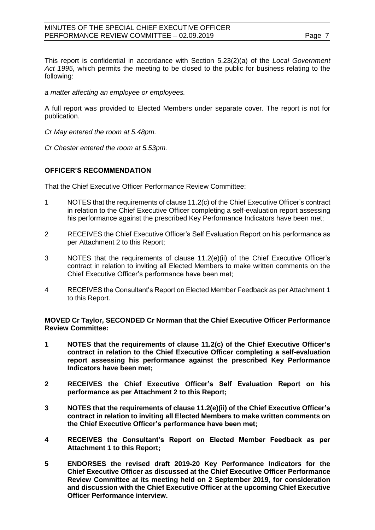## MINUTES OF THE SPECIAL CHIEF EXECUTIVE OFFICER PERFORMANCE REVIEW COMMITTEE - 02.09.2019 Page 7

This report is confidential in accordance with Section 5.23(2)(a) of the *Local Government Act 1995*, which permits the meeting to be closed to the public for business relating to the following:

*a matter affecting an employee or employees.*

A full report was provided to Elected Members under separate cover. The report is not for publication.

*Cr May entered the room at 5.48pm.*

*Cr Chester entered the room at 5.53pm.*

# **OFFICER'S RECOMMENDATION**

That the Chief Executive Officer Performance Review Committee:

- 1 NOTES that the requirements of clause 11.2(c) of the Chief Executive Officer's contract in relation to the Chief Executive Officer completing a self-evaluation report assessing his performance against the prescribed Key Performance Indicators have been met;
- 2 RECEIVES the Chief Executive Officer's Self Evaluation Report on his performance as per Attachment 2 to this Report;
- 3 NOTES that the requirements of clause 11.2(e)(ii) of the Chief Executive Officer's contract in relation to inviting all Elected Members to make written comments on the Chief Executive Officer's performance have been met;
- 4 RECEIVES the Consultant's Report on Elected Member Feedback as per Attachment 1 to this Report.

**MOVED Cr Taylor, SECONDED Cr Norman that the Chief Executive Officer Performance Review Committee:**

- **1 NOTES that the requirements of clause 11.2(c) of the Chief Executive Officer's contract in relation to the Chief Executive Officer completing a self-evaluation report assessing his performance against the prescribed Key Performance Indicators have been met;**
- **2 RECEIVES the Chief Executive Officer's Self Evaluation Report on his performance as per Attachment 2 to this Report;**
- **3 NOTES that the requirements of clause 11.2(e)(ii) of the Chief Executive Officer's contract in relation to inviting all Elected Members to make written comments on the Chief Executive Officer's performance have been met;**
- **4 RECEIVES the Consultant's Report on Elected Member Feedback as per Attachment 1 to this Report;**
- **5 ENDORSES the revised draft 2019-20 Key Performance Indicators for the Chief Executive Officer as discussed at the Chief Executive Officer Performance Review Committee at its meeting held on 2 September 2019, for consideration and discussion with the Chief Executive Officer at the upcoming Chief Executive Officer Performance interview.**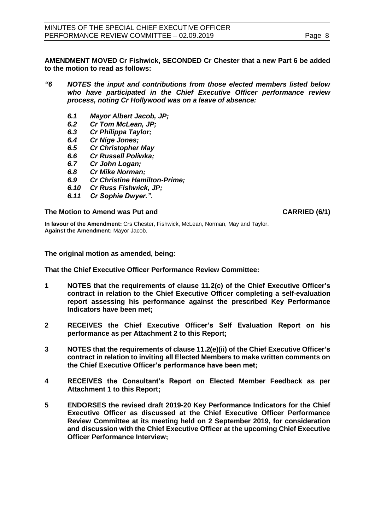**AMENDMENT MOVED Cr Fishwick, SECONDED Cr Chester that a new Part 6 be added to the motion to read as follows:**

## *"6 NOTES the input and contributions from those elected members listed below who have participated in the Chief Executive Officer performance review process, noting Cr Hollywood was on a leave of absence:*

- *6.1 Mayor Albert Jacob, JP;*
- *6.2 Cr Tom McLean, JP;*
- *6.3 Cr Philippa Taylor;*
- *6.4 Cr Nige Jones;*
- *6.5 Cr Christopher May*
- *6.6 Cr Russell Poliwka;*
- *6.7 Cr John Logan;*
- 
- *6.8 Cr Mike Norman; 6.9 Cr Christine Hamilton-Prime;*
- *6.10 Cr Russ Fishwick, JP;*
- *6.11 Cr Sophie Dwyer.".*

## **The Motion to Amend was Put and CARRIED (6/1)**

**In favour of the Amendment:** Crs Chester, Fishwick, McLean, Norman, May and Taylor. **Against the Amendment:** Mayor Jacob.

**The original motion as amended, being:**

**That the Chief Executive Officer Performance Review Committee:**

- **1 NOTES that the requirements of clause 11.2(c) of the Chief Executive Officer's contract in relation to the Chief Executive Officer completing a self-evaluation report assessing his performance against the prescribed Key Performance Indicators have been met;**
- **2 RECEIVES the Chief Executive Officer's Self Evaluation Report on his performance as per Attachment 2 to this Report;**
- **3 NOTES that the requirements of clause 11.2(e)(ii) of the Chief Executive Officer's contract in relation to inviting all Elected Members to make written comments on the Chief Executive Officer's performance have been met;**
- **4 RECEIVES the Consultant's Report on Elected Member Feedback as per Attachment 1 to this Report;**
- **5 ENDORSES the revised draft 2019-20 Key Performance Indicators for the Chief Executive Officer as discussed at the Chief Executive Officer Performance Review Committee at its meeting held on 2 September 2019, for consideration and discussion with the Chief Executive Officer at the upcoming Chief Executive Officer Performance Interview;**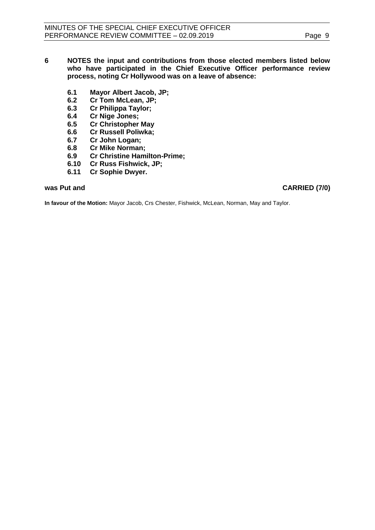- **6 NOTES the input and contributions from those elected members listed below who have participated in the Chief Executive Officer performance review process, noting Cr Hollywood was on a leave of absence:**
	- **6.1 Mayor Albert Jacob, JP;**
	- **6.2 Cr Tom McLean, JP;**
	- **6.3 Cr Philippa Taylor;**
	- **6.4 Cr Nige Jones;**
	- **6.5 Cr Christopher May**
	- **6.6 Cr Russell Poliwka;**
	- **6.7 Cr John Logan;**
	- **6.8 Cr Mike Norman;**
	- **6.9 Cr Christine Hamilton-Prime;**
	- **6.10 Cr Russ Fishwick, JP;**
	- **6.11 Cr Sophie Dwyer.**

## **was Put and CARRIED (7/0)**

**In favour of the Motion:** Mayor Jacob, Crs Chester, Fishwick, McLean, Norman, May and Taylor.